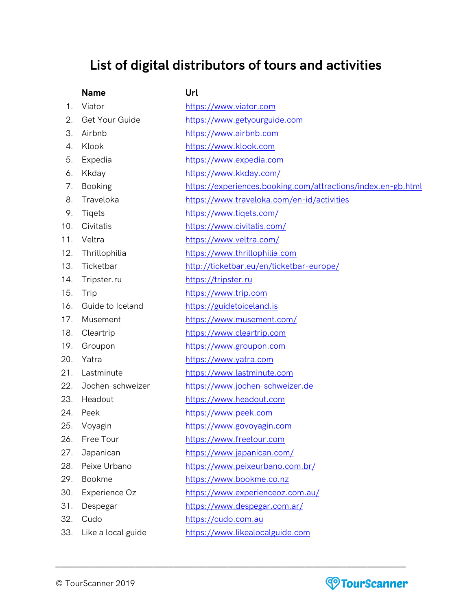## **List of digital distributors of tours and activities**

## **Name Url**

| 1.  | Viator             | https://www.viator.com                                       |
|-----|--------------------|--------------------------------------------------------------|
| 2.  | Get Your Guide     | https://www.getyourguide.com                                 |
| З.  | Airbnb             | https://www.airbnb.com                                       |
| 4.  | Klook              | https://www.klook.com                                        |
| 5.  | Expedia            | https://www.expedia.com                                      |
| 6.  | Kkday              | https://www.kkday.com/                                       |
| 7.  | <b>Booking</b>     | https://experiences.booking.com/attractions/index.en-gb.html |
| 8.  | Traveloka          | https://www.traveloka.com/en-id/activities                   |
| 9.  | <b>Tigets</b>      | https://www.tiqets.com/                                      |
| 10. | Civitatis          | https://www.civitatis.com/                                   |
| 11. | Veltra             | https://www.veltra.com/                                      |
| 12. | Thrillophilia      | https://www.thrillophilia.com                                |
| 13. | Ticketbar          | http://ticketbar.eu/en/ticketbar-europe/                     |
| 14. | Tripster.ru        | https://tripster.ru                                          |
| 15. | Trip               | https://www.trip.com                                         |
| 16. | Guide to Iceland   | https://guidetoiceland.is                                    |
| 17. | Musement           | https://www.musement.com/                                    |
| 18. | Cleartrip          | https://www.cleartrip.com                                    |
| 19. | Groupon            | https://www.groupon.com                                      |
| 20. | Yatra              | https://www.yatra.com                                        |
| 21. | Lastminute         | https://www.lastminute.com                                   |
| 22. | Jochen-schweizer   | https://www.jochen-schweizer.de                              |
| 23. | Headout            | https://www.headout.com                                      |
| 24. | Peek               | https://www.peek.com                                         |
| 25. | Voyagin            | https://www.govoyagin.com                                    |
| 26. | Free Tour          | https://www.freetour.com                                     |
| 27. | Japanican          | https://www.japanican.com/                                   |
| 28. | Peixe Urbano       | https://www.peixeurbano.com.br/                              |
| 29. | <b>Bookme</b>      | https://www.bookme.co.nz                                     |
| 30. | Experience Oz      | https://www.experienceoz.com.au/                             |
| 31. | Despegar           | https://www.despegar.com.ar/                                 |
| 32. | Cudo               | https://cudo.com.au                                          |
| 33. | Like a local guide | https://www.likealocalguide.com                              |

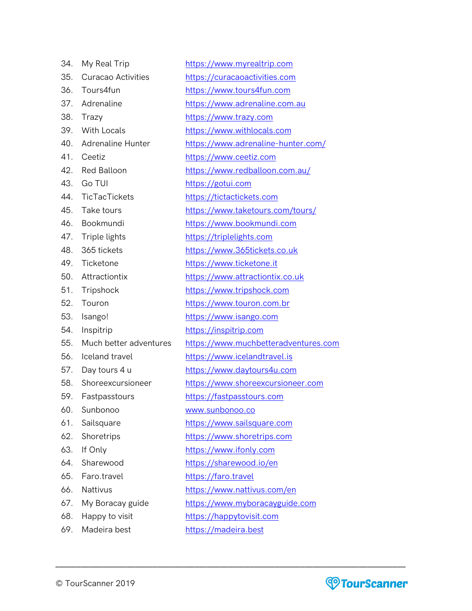| 34. | My Real Trip              | https://www.myrealtrip.com           |
|-----|---------------------------|--------------------------------------|
| 35. | <b>Curacao Activities</b> | https://curacaoactivities.com        |
| 36. | Tours4fun                 | https://www.tours4fun.com            |
| 37. | Adrenaline                | https://www.adrenaline.com.au        |
| 38. | Trazy                     | https://www.trazy.com                |
| 39. | With Locals               | https://www.withlocals.com           |
| 40. | <b>Adrenaline Hunter</b>  | https://www.adrenaline-hunter.com/   |
| 41. | Ceetiz                    | https://www.ceetiz.com               |
| 42. | <b>Red Balloon</b>        | https://www.redballoon.com.au/       |
| 43. | Go TUI                    | https://gotui.com                    |
| 44. | TicTacTickets             | https://tictactickets.com            |
| 45. | Take tours                | https://www.taketours.com/tours/     |
| 46. | Bookmundi                 | https://www.bookmundi.com            |
| 47. | Triple lights             | https://triplelights.com             |
| 48. | 365 tickets               | https://www.365tickets.co.uk         |
| 49. | Ticketone                 | https://www.ticketone.it             |
| 50. | Attractiontix             | https://www.attractiontix.co.uk      |
| 51. | Tripshock                 | https://www.tripshock.com            |
| 52. | Touron                    | https://www.touron.com.br            |
| 53. | Isango!                   | https://www.isango.com               |
| 54. | Inspitrip                 | https://inspitrip.com                |
| 55. | Much better adventures    | https://www.muchbetteradventures.com |
| 56. | Iceland travel            | https://www.icelandtravel.is         |
| 57. | Day tours 4 u             | https://www.daytours4u.com           |
| 58. | Shoreexcursioneer         | https://www.shoreexcursioneer.com    |
| 59. | Fastpasstours             | https://fastpasstours.com            |
| 60. | Sunbonoo                  | www.sunbonoo.co                      |
| 61. | Sailsquare                | https://www.sailsquare.com           |
| 62. | Shoretrips                | https://www.shoretrips.com           |
| 63. | If Only                   | https://www.ifonly.com               |
| 64. | Sharewood                 | https://sharewood.io/en              |
| 65. | Faro.travel               | https://faro.travel                  |
| 66. | Nattivus                  | https://www.nattivus.com/en          |
| 67. | My Boracay guide          | https://www.myboracayguide.com       |
| 68. | Happy to visit            | https://happytovisit.com             |
| 69. | Madeira best              | https://madeira.best                 |
|     |                           |                                      |

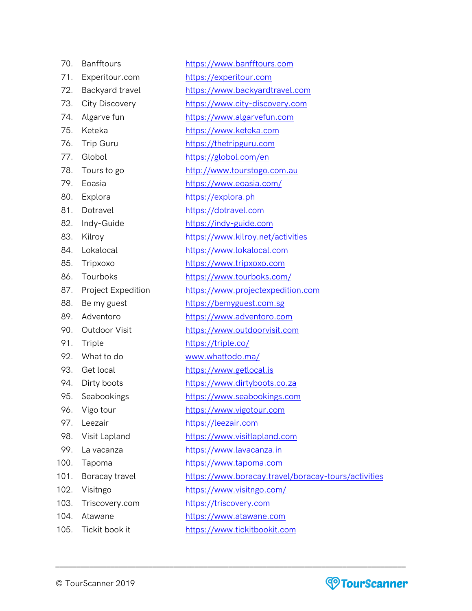| 70 | <b>Banfftours</b> |
|----|-------------------|
|    |                   |

- 71. Experitour.com [https://experitour.com](https://experitour.com/)
- 
- 
- 
- 
- 
- 
- 
- 
- 
- 81. Dotravel [https://dotravel.com](https://dotravel.com/)
- 82. Indy-Guide [https://indy-guide.com](https://indy-guide.com/)
- 
- 
- 
- 
- 
- 
- 
- 
- 
- 
- 
- 
- 
- 
- 
- 
- 
- 
- 
- 
- 103. Triscovery.com [https://triscovery.com](https://triscovery.com/)
- 
- 
- 72. Backyard travel [https://www.backyardtravel.com](https://www.backyardtravel.com/)
- 73. City Discovery [https://www.city-discovery.com](https://www.city-discovery.com/)

[https://www.banfftours.com](https://www.banfftours.com/)

- 74. Algarve fun [https://www.algarvefun.com](https://www.algarvefun.com/)
- 75. Keteka [https://www.keteka.com](https://www.keteka.com/)
- 76. Trip Guru [https://thetripguru.com](https://thetripguru.com/)
- 77. Globol <https://globol.com/en>
- 78. Tours to go [http://www.tourstogo.com.au](http://www.tourstogo.com.au/)
- 79. Eoasia <https://www.eoasia.com/>
- 80. Explora [https://explora.ph](https://explora.ph/)
	-
	-
- 83. Kilroy <https://www.kilroy.net/activities>
- 84. Lokalocal [https://www.lokalocal.com](https://www.lokalocal.com/)
- 85. Tripxoxo [https://www.tripxoxo.com](https://www.tripxoxo.com/)
- 86. Tourboks <https://www.tourboks.com/>
	-
- 87. Project Expedition [https://www.projectexpedition.com](https://www.projectexpedition.com/)
- 88. Be my guest [https://bemyguest.com.sg](https://bemyguest.com.sg/)
- 89. Adventoro [https://www.adventoro.com](https://www.adventoro.com/)
- 90. Outdoor Visit [https://www.outdoorvisit.com](https://www.outdoorvisit.com/)
- 91. Triple <https://triple.co/>
- 92. What to do [www.whattodo.ma/](http://www.whattodo.ma/)
- 93. Get local [https://www.getlocal.is](https://www.getlocal.is/)
- 94. Dirty boots [https://www.dirtyboots.co.za](https://www.dirtyboots.co.za/)
- 95. Seabookings [https://www.seabookings.com](https://www.seabookings.com/)
- 96. Vigo tour [https://www.vigotour.com](https://www.vigotour.com/)
- 97. Leezair [https://leezair.com](https://leezair.com/)
- 98. Visit Lapland [https://www.visitlapland.com](https://www.visitlapland.com/)
- 99. La vacanza [https://www.lavacanza.in](https://www.lavacanza.in/)
- 100. Tapoma [https://www.tapoma.com](https://www.tapoma.com/)
- 101. Boracay travel <https://www.boracay.travel/boracay-tours/activities>
- 102. Visitngo <https://www.visitngo.com/>
	-
- 104. Atawane [https://www.atawane.com](https://www.atawane.com/)
	-
- 105. Tickit book it [https://www.tickitbookit.com](https://www.tickitbookit.com/)